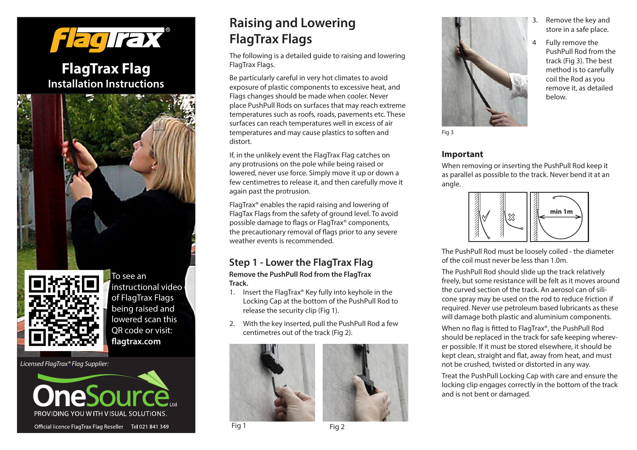

**FlagTrax Flag Installation Instructions**





instructional video of FlagTrax Flags being raised and lowered scan this QR code or visit: **agtrax.com**

*Licensed FlagTrax® Flag Supplier:*



# **Raising and Lowering FlagTrax Flags**

The following is a detailed guide to raising and lowering FlagTrax Flags.

Be particularly careful in very hot climates to avoid exposure of plastic components to excessive heat, and Flags changes should be made when cooler. Never place PushPull Rods on surfaces that may reach extreme temperatures such as roofs, roads, pavements etc. These surfaces can reach temperatures well in excess of air temperatures and may cause plastics to soften and distort.

If, in the unlikely event the FlagTrax Flag catches on any protrusions on the pole while being raised or lowered, never use force. Simply move it up or down a few centimetres to release it, and then carefully move it again past the protrusion.

FlagTrax® enables the rapid raising and lowering of FlagTax Flags from the safety of ground level. To avoid possible damage to flags or FlagTrax® components, the precautionary removal of flags prior to any severe weather events is recommended.

### **Step 1 - Lower the FlagTrax Flag**

**Remove the PushPull Rod from the FlagTrax Track.**

- 1. Insert the FlagTrax® Key fully into keyhole in the Locking Cap at the bottom of the PushPull Rod to release the security clip (Fig 1).
- 2. With the key inserted, pull the PushPull Rod a few centimetres out of the track (Fig 2).







- Remove the key and store in a safe place.
- 4 Fully remove the PushPull Rod from the track (Fig 3). The best method is to carefully coil the Rod as you remove it, as detailed below.

**Important**

When removing or inserting the PushPull Rod keep it as parallel as possible to the track. Never bend it at an angle.



The PushPull Rod must be loosely coiled - the diameter of the coil must never be less than 1.0m.

The PushPull Rod should slide up the track relatively freely, but some resistance will be felt as it moves around the curved section of the track. An aerosol can of silicone spray may be used on the rod to reduce friction if required. Never use petroleum based lubricants as these will damage both plastic and aluminium components.

When no flag is fitted to FlagTrax®, the PushPull Rod should be replaced in the track for safe keeping wherever possible. If it must be stored elsewhere, it should be kept clean, straight and flat, away from heat, and must not be crushed, twisted or distorted in any way.

Treat the PushPull Locking Cap with care and ensure the locking clip engages correctly in the bottom of the track and is not bent or damaged.

Fig 1 Fig 2